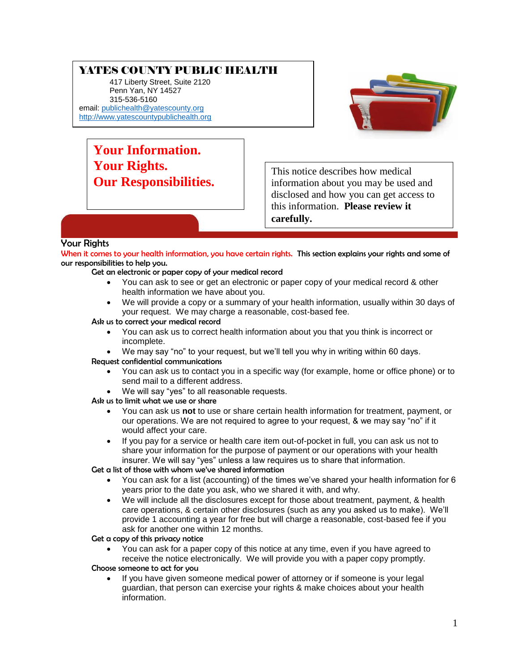# YATES COUNTY PUBLIC HEALTH

417 Liberty Street, Suite 2120 Penn Yan, NY 14527 315-536-5160 email: [publichealth@yatescounty.org](mailto:publichealth@yatescounty.org) [http://www.yatescountypublichealth.org](http://www.yatescountypublichealth.org/)



**Your Information. Your Rights. Our Responsibilities.**

This notice describes how medical information about you may be used and disclosed and how you can get access to this information. **Please review it carefully.**

## Your Rights

When it comes to your health information, you have certain rights. This section explains your rights and some of our responsibilities to help you.

Get an electronic or paper copy of your medical record

- You can ask to see or get an electronic or paper copy of your medical record & other health information we have about you.
- We will provide a copy or a summary of your health information, usually within 30 days of your request. We may charge a reasonable, cost-based fee.

#### Ask us to correct your medical record

- You can ask us to correct health information about you that you think is incorrect or incomplete.
- We may say "no" to your request, but we'll tell you why in writing within 60 days.

#### Request confidential communications

- You can ask us to contact you in a specific way (for example, home or office phone) or to send mail to a different address.
- We will say "yes" to all reasonable requests.
- Ask us to limit what we use or share
	- You can ask us **not** to use or share certain health information for treatment, payment, or our operations. We are not required to agree to your request, & we may say "no" if it would affect your care.
	- If you pay for a service or health care item out-of-pocket in full, you can ask us not to share your information for the purpose of payment or our operations with your health insurer. We will say "yes" unless a law requires us to share that information.

Get a list of those with whom we've shared information

- You can ask for a list (accounting) of the times we've shared your health information for 6 years prior to the date you ask, who we shared it with, and why.
- We will include all the disclosures except for those about treatment, payment, & health care operations, & certain other disclosures (such as any you asked us to make). We'll provide 1 accounting a year for free but will charge a reasonable, cost-based fee if you ask for another one within 12 months.

Get a copy of this privacy notice

 You can ask for a paper copy of this notice at any time, even if you have agreed to receive the notice electronically. We will provide you with a paper copy promptly.

#### Choose someone to act for you

 If you have given someone medical power of attorney or if someone is your legal guardian, that person can exercise your rights & make choices about your health information.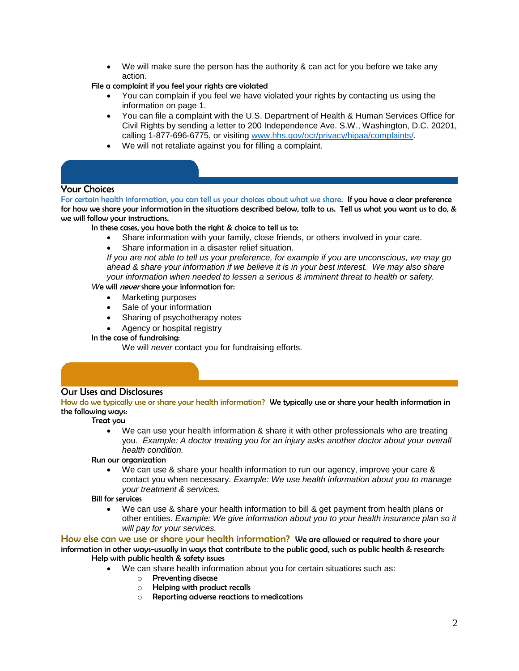- We will make sure the person has the authority & can act for you before we take any action.
- File a complaint if you feel your rights are violated
	- You can complain if you feel we have violated your rights by contacting us using the information on page 1.
	- You can file a complaint with the U.S. Department of Health & Human Services Office for Civil Rights by sending a letter to 200 Independence Ave. S.W., Washington, D.C. 20201, calling 1-877-696-6775, or visiting [www.hhs.gov/ocr/privacy/hipaa/complaints/.](http://www.hhs.gov/ocr/privacy/hipaa/complaints/)
	- We will not retaliate against you for filling a complaint.

## Your Choices

For certain health information, you can tell us your choices about what we share. If you have a clear preference for how we share your information in the situations described below, talk to us. Tell us what you want us to do, & we will follow your instructions.

In these cases, you have both the right & choice to tell us to:

- Share information with your family, close friends, or others involved in your care.
- Share information in a disaster relief situation.

*If you are not able to tell us your preference, for example if you are unconscious, we may go ahead & share your information if we believe it is in your best interest. We may also share your information when needed to lessen a serious & imminent threat to health or safety.*

#### *W*e will never share your information for:

- Marketing purposes
- Sale of your information
- Sharing of psychotherapy notes
- Agency or hospital registry

In the case of fundraising:

We will *never* contact you for fundraising efforts.

#### Our Uses and Disclosures

**Our Uses and Disclosures**

How do we typically use or share your health information? We typically use or share your health information in the following ways:

#### Treat you

 We can use your health information & share it with other professionals who are treating you. *Example: A doctor treating you for an injury asks another doctor about your overall health condition.*

Run our organization

 We can use & share your health information to run our agency, improve your care & contact you when necessary. *Example: We use health information about you to manage your treatment & services.*

Bill for services

 We can use & share your health information to bill & get payment from health plans or other entities. *Example: We give information about you to your health insurance plan so it will pay for your services.*

How else can we use or share your health information? We are allowed or required to share your information in other ways-usually in ways that contribute to the public good, such as public health & research: Help with public health & safety issues

- We can share health information about you for certain situations such as:
	- o Preventing disease
	- o Helping with product recalls
	- o Reporting adverse reactions to medications